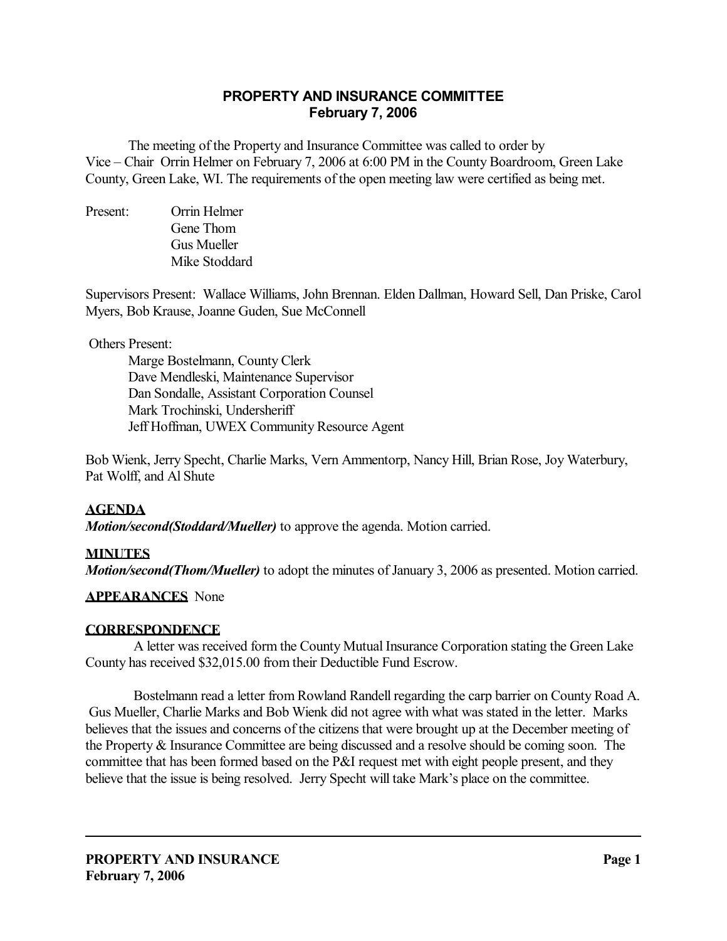# **PROPERTY AND INSURANCE COMMITTEE February 7, 2006**

 The meeting of the Property and Insurance Committee was called to order by Vice – Chair Orrin Helmer on February 7, 2006 at 6:00 PM in the County Boardroom, Green Lake County, Green Lake, WI. The requirements of the open meeting law were certified as being met.

Present: Orrin Helmer Gene Thom Gus Mueller Mike Stoddard

Supervisors Present: Wallace Williams, John Brennan. Elden Dallman, Howard Sell, Dan Priske, Carol Myers, Bob Krause, Joanne Guden, Sue McConnell

## Others Present:

 Marge Bostelmann, County Clerk Dave Mendleski, Maintenance Supervisor Dan Sondalle, Assistant Corporation Counsel Mark Trochinski, Undersheriff Jeff Hoffman, UWEX Community Resource Agent

Bob Wienk, Jerry Specht, Charlie Marks, Vern Ammentorp, Nancy Hill, Brian Rose, Joy Waterbury, Pat Wolff, and Al Shute

# **AGENDA**

*Motion/second(Stoddard/Mueller)* to approve the agenda. Motion carried.

# **MINUTES**

*Motion/second(Thom/Mueller)* to adopt the minutes of January 3, 2006 as presented. Motion carried.

## **APPEARANCES** None

## **CORRESPONDENCE**

 A letter was received form the County Mutual Insurance Corporation stating the Green Lake County has received \$32,015.00 from their Deductible Fund Escrow.

 Bostelmann read a letter from Rowland Randell regarding the carp barrier on County Road A. Gus Mueller, Charlie Marks and Bob Wienk did not agree with what was stated in the letter. Marks believes that the issues and concerns of the citizens that were brought up at the December meeting of the Property & Insurance Committee are being discussed and a resolve should be coming soon. The committee that has been formed based on the P&I request met with eight people present, and they believe that the issue is being resolved. Jerry Specht will take Mark's place on the committee.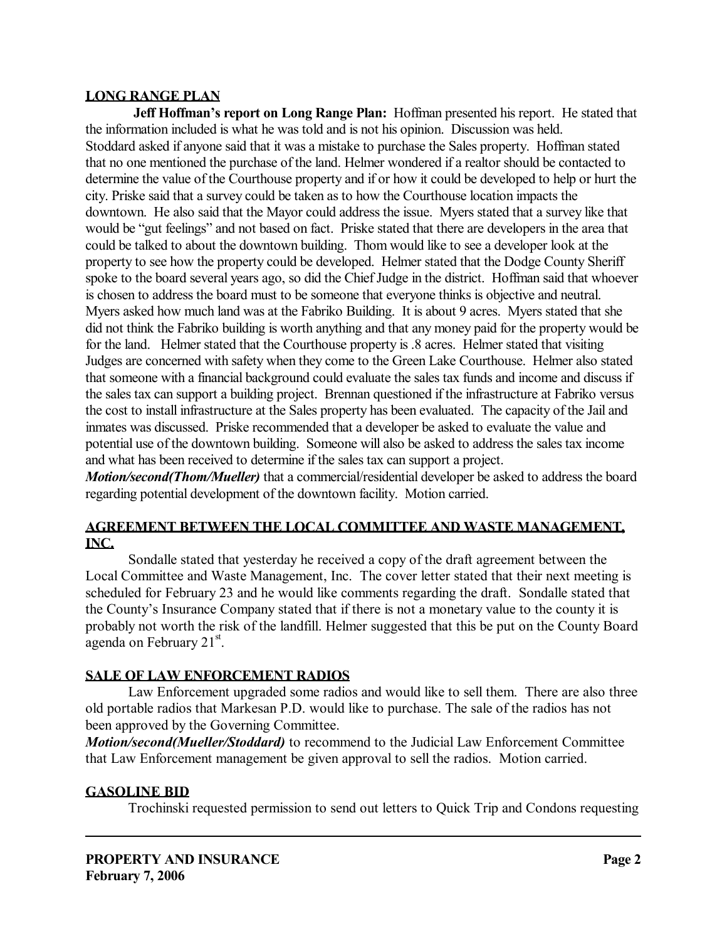## **LONG RANGE PLAN**

**Jeff Hoffman's report on Long Range Plan:** Hoffman presented his report. He stated that the information included is what he was told and is not his opinion. Discussion was held. Stoddard asked if anyone said that it was a mistake to purchase the Sales property. Hoffman stated that no one mentioned the purchase of the land. Helmer wondered if a realtor should be contacted to determine the value of the Courthouse property and if or how it could be developed to help or hurt the city. Priske said that a survey could be taken as to how the Courthouse location impacts the downtown. He also said that the Mayor could address the issue. Myers stated that a survey like that would be "gut feelings" and not based on fact. Priske stated that there are developers in the area that could be talked to about the downtown building. Thom would like to see a developer look at the property to see how the property could be developed. Helmer stated that the Dodge County Sheriff spoke to the board several years ago, so did the Chief Judge in the district. Hoffman said that whoever is chosen to address the board must to be someone that everyone thinks is objective and neutral. Myers asked how much land was at the Fabriko Building. It is about 9 acres. Myers stated that she did not think the Fabriko building is worth anything and that any money paid for the property would be for the land. Helmer stated that the Courthouse property is .8 acres. Helmer stated that visiting Judges are concerned with safety when they come to the Green Lake Courthouse. Helmer also stated that someone with a financial background could evaluate the sales tax funds and income and discuss if the sales tax can support a building project. Brennan questioned if the infrastructure at Fabriko versus the cost to install infrastructure at the Sales property has been evaluated. The capacity of the Jail and inmates was discussed. Priske recommended that a developer be asked to evaluate the value and potential use of the downtown building. Someone will also be asked to address the sales tax income and what has been received to determine if the sales tax can support a project.

*Motion/second(Thom/Mueller)* that a commercial/residential developer be asked to address the board regarding potential development of the downtown facility. Motion carried.

## **AGREEMENT BETWEEN THE LOCAL COMMITTEE AND WASTE MANAGEMENT, INC.**

 Sondalle stated that yesterday he received a copy of the draft agreement between the Local Committee and Waste Management, Inc. The cover letter stated that their next meeting is scheduled for February 23 and he would like comments regarding the draft. Sondalle stated that the County's Insurance Company stated that if there is not a monetary value to the county it is probably not worth the risk of the landfill. Helmer suggested that this be put on the County Board agenda on February 21 $^{\rm st}$ .

# **SALE OF LAW ENFORCEMENT RADIOS**

 Law Enforcement upgraded some radios and would like to sell them. There are also three old portable radios that Markesan P.D. would like to purchase. The sale of the radios has not been approved by the Governing Committee.

*Motion/second(Mueller/Stoddard)* to recommend to the Judicial Law Enforcement Committee that Law Enforcement management be given approval to sell the radios. Motion carried.

# **GASOLINE BID**

Trochinski requested permission to send out letters to Quick Trip and Condons requesting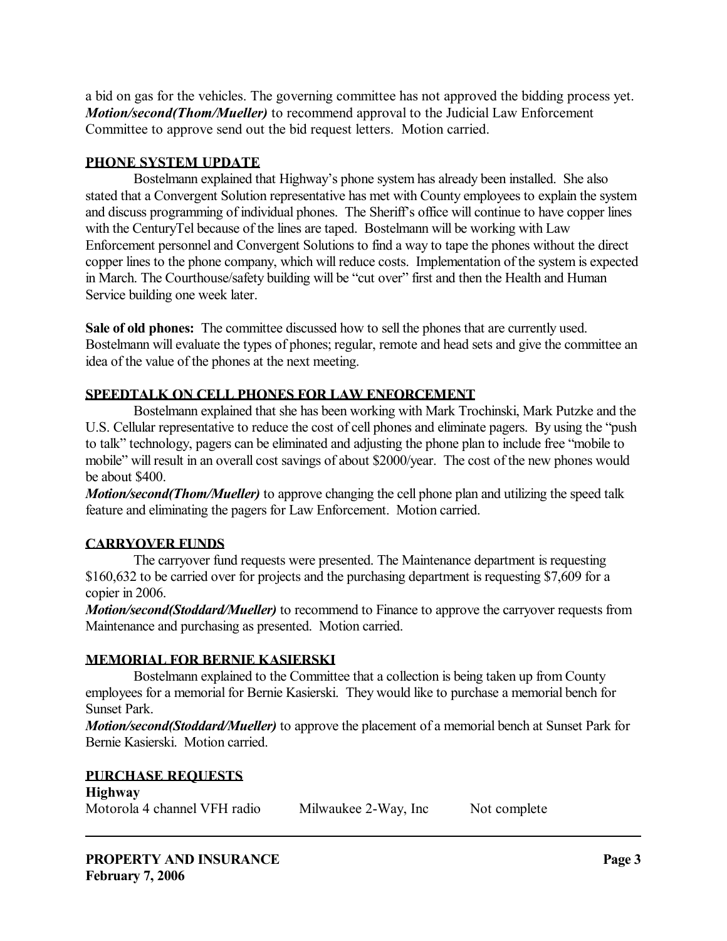a bid on gas for the vehicles. The governing committee has not approved the bidding process yet. *Motion/second(Thom/Mueller)* to recommend approval to the Judicial Law Enforcement Committee to approve send out the bid request letters. Motion carried.

### **PHONE SYSTEM UPDATE**

 Bostelmann explained that Highway's phone system has already been installed. She also stated that a Convergent Solution representative has met with County employees to explain the system and discuss programming of individual phones. The Sheriff's office will continue to have copper lines with the CenturyTel because of the lines are taped. Bostelmann will be working with Law Enforcement personnel and Convergent Solutions to find a way to tape the phones without the direct copper lines to the phone company, which will reduce costs. Implementation of the system is expected in March. The Courthouse/safety building will be "cut over" first and then the Health and Human Service building one week later.

**Sale of old phones:** The committee discussed how to sell the phones that are currently used. Bostelmann will evaluate the types of phones; regular, remote and head sets and give the committee an idea of the value of the phones at the next meeting.

## **SPEEDTALK ON CELL PHONES FOR LAW ENFORCEMENT**

 Bostelmann explained that she has been working with Mark Trochinski, Mark Putzke and the U.S. Cellular representative to reduce the cost of cell phones and eliminate pagers. By using the "push to talk" technology, pagers can be eliminated and adjusting the phone plan to include free "mobile to mobile" will result in an overall cost savings of about \$2000/year. The cost of the new phones would be about \$400.

*Motion/second(Thom/Mueller)* to approve changing the cell phone plan and utilizing the speed talk feature and eliminating the pagers for Law Enforcement. Motion carried.

# **CARRYOVER FUNDS**

 The carryover fund requests were presented. The Maintenance department is requesting \$160,632 to be carried over for projects and the purchasing department is requesting \$7,609 for a copier in 2006.

*Motion/second(Stoddard/Mueller)* to recommend to Finance to approve the carryover requests from Maintenance and purchasing as presented. Motion carried.

## **MEMORIAL FOR BERNIE KASIERSKI**

 Bostelmann explained to the Committee that a collection is being taken up from County employees for a memorial for Bernie Kasierski. They would like to purchase a memorial bench for Sunset Park.

*Motion/second(Stoddard/Mueller)* to approve the placement of a memorial bench at Sunset Park for Bernie Kasierski. Motion carried.

#### **PURCHASE REQUESTS Highway**

| <b>ELIGHT THE</b>            |                      |              |
|------------------------------|----------------------|--------------|
| Motorola 4 channel VFH radio | Milwaukee 2-Way, Inc | Not complete |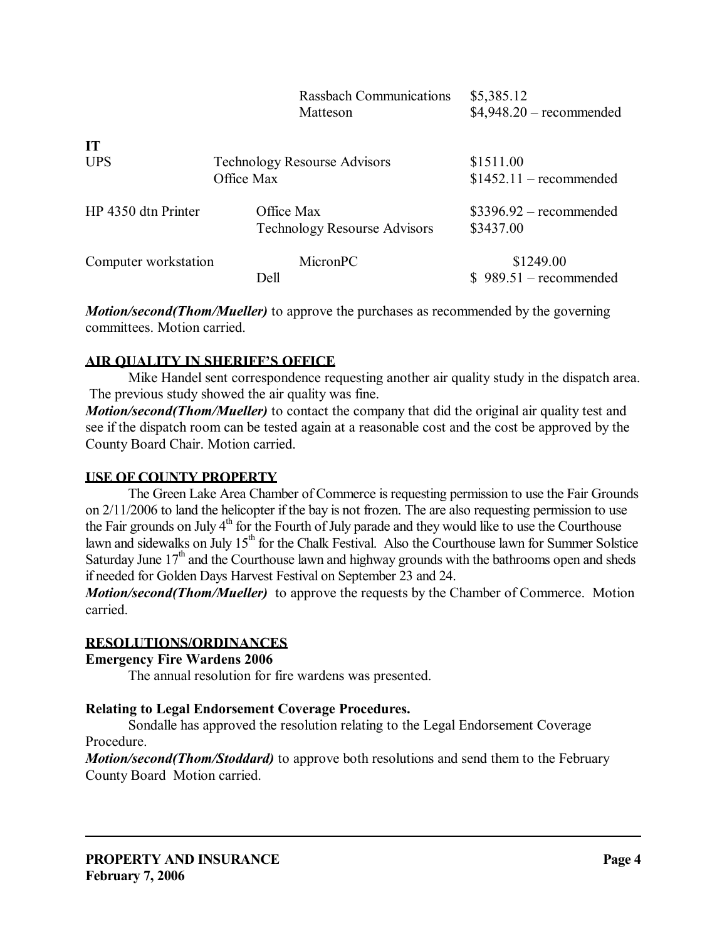| <b>Rassbach Communications</b>   | \$5,385.12                                                                                             |
|----------------------------------|--------------------------------------------------------------------------------------------------------|
| Matteson                         | $$4,948.20$ – recommended                                                                              |
|                                  |                                                                                                        |
|                                  | \$1511.00                                                                                              |
|                                  | $$1452.11$ - recommended                                                                               |
|                                  |                                                                                                        |
|                                  | $$3396.92$ – recommended                                                                               |
|                                  | \$3437.00                                                                                              |
|                                  |                                                                                                        |
| MicronPC<br>Computer workstation | \$1249.00                                                                                              |
| Dell                             | $$989.51-recommended$                                                                                  |
|                                  | <b>Technology Resourse Advisors</b><br>Office Max<br>Office Max<br><b>Technology Resourse Advisors</b> |

*Motion/second(Thom/Mueller)* to approve the purchases as recommended by the governing committees. Motion carried.

## **AIR QUALITY IN SHERIFF'S OFFICE**

 Mike Handel sent correspondence requesting another air quality study in the dispatch area. The previous study showed the air quality was fine.

*Motion/second(Thom/Mueller)* to contact the company that did the original air quality test and see if the dispatch room can be tested again at a reasonable cost and the cost be approved by the County Board Chair. Motion carried.

## **USE OF COUNTY PROPERTY**

 The Green Lake Area Chamber of Commerce is requesting permission to use the Fair Grounds on 2/11/2006 to land the helicopter if the bay is not frozen. The are also requesting permission to use the Fair grounds on July  $4<sup>th</sup>$  for the Fourth of July parade and they would like to use the Courthouse lawn and sidewalks on July 15<sup>th</sup> for the Chalk Festival. Also the Courthouse lawn for Summer Solstice Saturday June  $17<sup>th</sup>$  and the Courthouse lawn and highway grounds with the bathrooms open and sheds if needed for Golden Days Harvest Festival on September 23 and 24.

*Motion/second(Thom/Mueller)* to approve the requests by the Chamber of Commerce. Motion carried.

# **RESOLUTIONS/ORDINANCES**

**Emergency Fire Wardens 2006** 

The annual resolution for fire wardens was presented.

# **Relating to Legal Endorsement Coverage Procedures.**

 Sondalle has approved the resolution relating to the Legal Endorsement Coverage Procedure.

*Motion/second(Thom/Stoddard)* to approve both resolutions and send them to the February County Board Motion carried.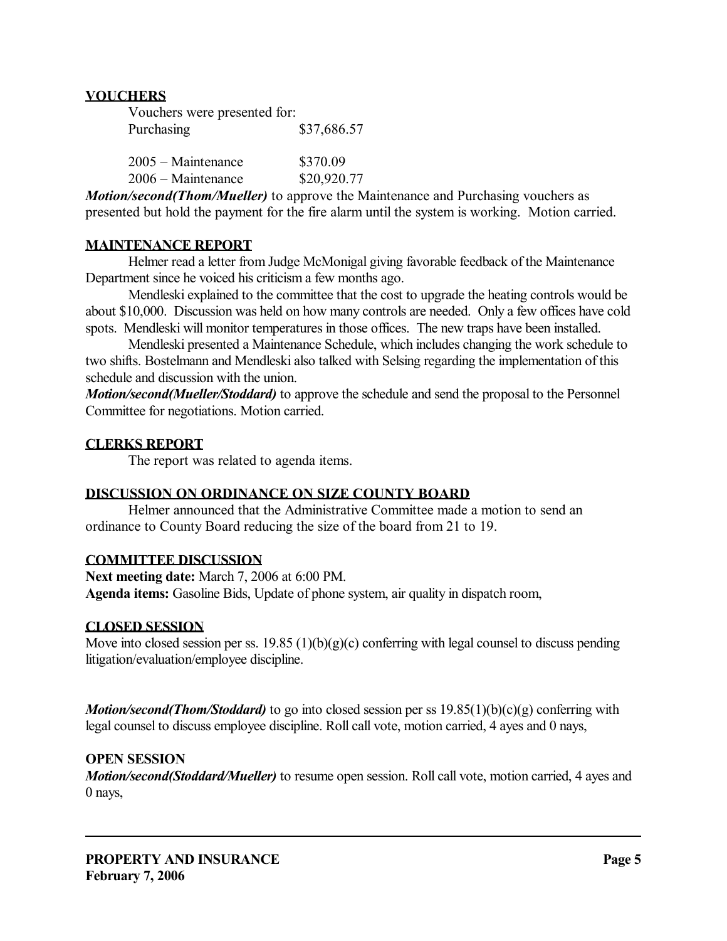## **VOUCHERS**

| Vouchers were presented for: |             |
|------------------------------|-------------|
| Purchasing                   | \$37,686.57 |

| $2005 - \text{Maintenance}$ | \$370.09    |
|-----------------------------|-------------|
| $2006 - Maintenance$        | \$20,920.77 |

*Motion/second(Thom/Mueller)* to approve the Maintenance and Purchasing vouchers as presented but hold the payment for the fire alarm until the system is working. Motion carried.

## **MAINTENANCE REPORT**

 Helmer read a letter from Judge McMonigal giving favorable feedback of the Maintenance Department since he voiced his criticism a few months ago.

 Mendleski explained to the committee that the cost to upgrade the heating controls would be about \$10,000. Discussion was held on how many controls are needed. Only a few offices have cold spots. Mendleski will monitor temperatures in those offices. The new traps have been installed.

 Mendleski presented a Maintenance Schedule, which includes changing the work schedule to two shifts. Bostelmann and Mendleski also talked with Selsing regarding the implementation of this schedule and discussion with the union.

*Motion/second(Mueller/Stoddard)* to approve the schedule and send the proposal to the Personnel Committee for negotiations. Motion carried.

### **CLERKS REPORT**

The report was related to agenda items.

## **DISCUSSION ON ORDINANCE ON SIZE COUNTY BOARD**

 Helmer announced that the Administrative Committee made a motion to send an ordinance to County Board reducing the size of the board from 21 to 19.

## **COMMITTEE DISCUSSION**

**Next meeting date:** March 7, 2006 at 6:00 PM. **Agenda items:** Gasoline Bids, Update of phone system, air quality in dispatch room,

## **CLOSED SESSION**

Move into closed session per ss. 19.85 (1)(b)(g)(c) conferring with legal counsel to discuss pending litigation/evaluation/employee discipline.

*Motion/second(Thom/Stoddard)* to go into closed session per ss 19.85(1)(b)(c)(g) conferring with legal counsel to discuss employee discipline. Roll call vote, motion carried, 4 ayes and 0 nays,

## **OPEN SESSION**

*Motion/second(Stoddard/Mueller)* to resume open session. Roll call vote, motion carried, 4 ayes and 0 nays,